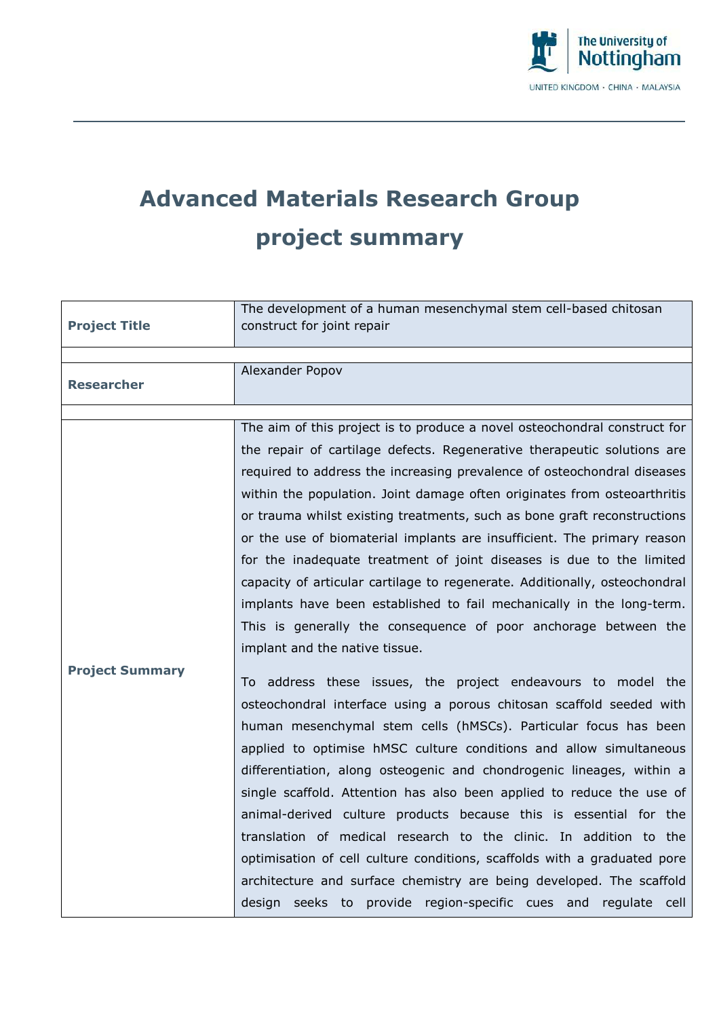

## **Advanced Materials Research Group project summary**

|                        | The development of a human mesenchymal stem cell-based chitosan            |
|------------------------|----------------------------------------------------------------------------|
| <b>Project Title</b>   | construct for joint repair                                                 |
|                        |                                                                            |
|                        | Alexander Popov                                                            |
| <b>Researcher</b>      |                                                                            |
|                        |                                                                            |
|                        | The aim of this project is to produce a novel osteochondral construct for  |
|                        | the repair of cartilage defects. Regenerative therapeutic solutions are    |
|                        | required to address the increasing prevalence of osteochondral diseases    |
|                        | within the population. Joint damage often originates from osteoarthritis   |
|                        | or trauma whilst existing treatments, such as bone graft reconstructions   |
|                        | or the use of biomaterial implants are insufficient. The primary reason    |
|                        | for the inadequate treatment of joint diseases is due to the limited       |
|                        | capacity of articular cartilage to regenerate. Additionally, osteochondral |
|                        | implants have been established to fail mechanically in the long-term.      |
|                        | This is generally the consequence of poor anchorage between the            |
|                        | implant and the native tissue.                                             |
| <b>Project Summary</b> |                                                                            |
|                        | To address these issues, the project endeavours to model the               |
|                        | osteochondral interface using a porous chitosan scaffold seeded with       |
|                        | human mesenchymal stem cells (hMSCs). Particular focus has been            |
|                        | applied to optimise hMSC culture conditions and allow simultaneous         |
|                        | differentiation, along osteogenic and chondrogenic lineages, within a      |
|                        | single scaffold. Attention has also been applied to reduce the use of      |
|                        | animal-derived culture products because this is essential for the          |
|                        | translation of medical research to the clinic. In addition to the          |
|                        | optimisation of cell culture conditions, scaffolds with a graduated pore   |
|                        | architecture and surface chemistry are being developed. The scaffold       |
|                        | design seeks to provide region-specific cues and regulate cell             |